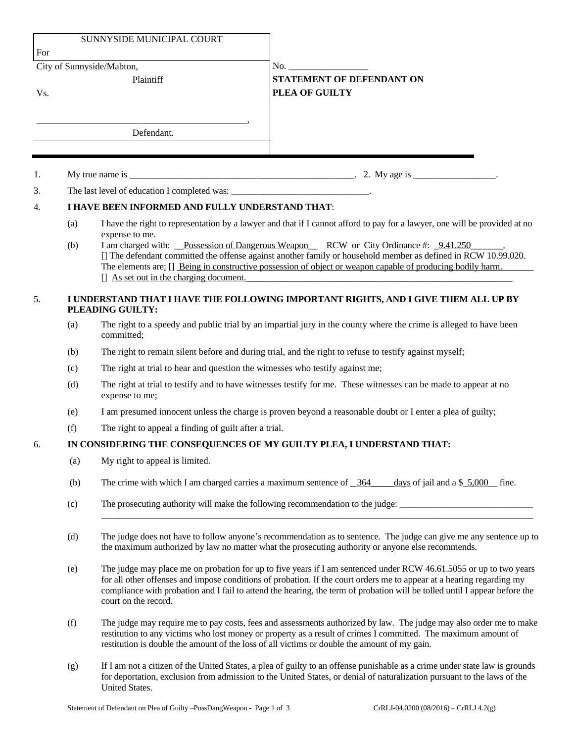|     |                                                                                                        | SUNNYSIDE MUNICIPAL COURT                                                                                                                                                                                                                                                                                                                                                                         |                                                                                                                                                                                                                                                                                                                                      |  |
|-----|--------------------------------------------------------------------------------------------------------|---------------------------------------------------------------------------------------------------------------------------------------------------------------------------------------------------------------------------------------------------------------------------------------------------------------------------------------------------------------------------------------------------|--------------------------------------------------------------------------------------------------------------------------------------------------------------------------------------------------------------------------------------------------------------------------------------------------------------------------------------|--|
| For |                                                                                                        |                                                                                                                                                                                                                                                                                                                                                                                                   |                                                                                                                                                                                                                                                                                                                                      |  |
|     |                                                                                                        | City of Sunnyside/Mabton,                                                                                                                                                                                                                                                                                                                                                                         |                                                                                                                                                                                                                                                                                                                                      |  |
|     |                                                                                                        | Plaintiff                                                                                                                                                                                                                                                                                                                                                                                         | <b>STATEMENT OF DEFENDANT ON</b>                                                                                                                                                                                                                                                                                                     |  |
| Vs. |                                                                                                        |                                                                                                                                                                                                                                                                                                                                                                                                   | PLEA OF GUILTY                                                                                                                                                                                                                                                                                                                       |  |
|     |                                                                                                        |                                                                                                                                                                                                                                                                                                                                                                                                   |                                                                                                                                                                                                                                                                                                                                      |  |
|     |                                                                                                        | Defendant.                                                                                                                                                                                                                                                                                                                                                                                        |                                                                                                                                                                                                                                                                                                                                      |  |
|     |                                                                                                        |                                                                                                                                                                                                                                                                                                                                                                                                   |                                                                                                                                                                                                                                                                                                                                      |  |
|     |                                                                                                        |                                                                                                                                                                                                                                                                                                                                                                                                   |                                                                                                                                                                                                                                                                                                                                      |  |
| 1.  |                                                                                                        |                                                                                                                                                                                                                                                                                                                                                                                                   |                                                                                                                                                                                                                                                                                                                                      |  |
| 3.  |                                                                                                        | The last level of education I completed was: ___________________________________.                                                                                                                                                                                                                                                                                                                 |                                                                                                                                                                                                                                                                                                                                      |  |
| 4.  | I HAVE BEEN INFORMED AND FULLY UNDERSTAND THAT:                                                        |                                                                                                                                                                                                                                                                                                                                                                                                   |                                                                                                                                                                                                                                                                                                                                      |  |
|     | (a)                                                                                                    | expense to me.                                                                                                                                                                                                                                                                                                                                                                                    | I have the right to representation by a lawyer and that if I cannot afford to pay for a lawyer, one will be provided at no                                                                                                                                                                                                           |  |
|     | (b)                                                                                                    | I am charged with: Possession of Dangerous Weapon RCW or City Ordinance #: 9.41.250<br>[] The defendant committed the offense against another family or household member as defined in RCW 10.99.020.<br>The elements are: [] Being in constructive possession of object or weapon capable of producing bodily harm.<br>$\left  \right $ As set out in the charging document.                     |                                                                                                                                                                                                                                                                                                                                      |  |
| 5.  | I UNDERSTAND THAT I HAVE THE FOLLOWING IMPORTANT RIGHTS, AND I GIVE THEM ALL UP BY<br>PLEADING GUILTY: |                                                                                                                                                                                                                                                                                                                                                                                                   |                                                                                                                                                                                                                                                                                                                                      |  |
|     | (a)                                                                                                    | The right to a speedy and public trial by an impartial jury in the county where the crime is alleged to have been<br>committed;                                                                                                                                                                                                                                                                   |                                                                                                                                                                                                                                                                                                                                      |  |
|     | (b)                                                                                                    | The right to remain silent before and during trial, and the right to refuse to testify against myself;                                                                                                                                                                                                                                                                                            |                                                                                                                                                                                                                                                                                                                                      |  |
|     | (c)                                                                                                    | The right at trial to hear and question the witnesses who testify against me;                                                                                                                                                                                                                                                                                                                     |                                                                                                                                                                                                                                                                                                                                      |  |
|     | (d)                                                                                                    | The right at trial to testify and to have witnesses testify for me. These witnesses can be made to appear at no<br>expense to me;                                                                                                                                                                                                                                                                 |                                                                                                                                                                                                                                                                                                                                      |  |
|     | (e)                                                                                                    | I am presumed innocent unless the charge is proven beyond a reasonable doubt or I enter a plea of guilty;                                                                                                                                                                                                                                                                                         |                                                                                                                                                                                                                                                                                                                                      |  |
|     | (f)                                                                                                    | The right to appeal a finding of guilt after a trial.                                                                                                                                                                                                                                                                                                                                             |                                                                                                                                                                                                                                                                                                                                      |  |
| 6.  |                                                                                                        |                                                                                                                                                                                                                                                                                                                                                                                                   | IN CONSIDERING THE CONSEQUENCES OF MY GUILTY PLEA, I UNDERSTAND THAT:                                                                                                                                                                                                                                                                |  |
|     | (a)                                                                                                    | My right to appeal is limited.                                                                                                                                                                                                                                                                                                                                                                    |                                                                                                                                                                                                                                                                                                                                      |  |
|     | (b)                                                                                                    | The crime with which I am charged carries a maximum sentence of 364<br>days of jail and a $$5,000$ fine.                                                                                                                                                                                                                                                                                          |                                                                                                                                                                                                                                                                                                                                      |  |
|     | (c)                                                                                                    | The prosecuting authority will make the following recommendation to the judge:                                                                                                                                                                                                                                                                                                                    |                                                                                                                                                                                                                                                                                                                                      |  |
|     | (d)                                                                                                    | The judge does not have to follow anyone's recommendation as to sentence. The judge can give me any sentence up to<br>the maximum authorized by law no matter what the prosecuting authority or anyone else recommends.                                                                                                                                                                           |                                                                                                                                                                                                                                                                                                                                      |  |
|     | (e)                                                                                                    | The judge may place me on probation for up to five years if I am sentenced under RCW 46.61.5055 or up to two years<br>for all other offenses and impose conditions of probation. If the court orders me to appear at a hearing regarding my<br>compliance with probation and I fail to attend the hearing, the term of probation will be tolled until I appear before the<br>court on the record. |                                                                                                                                                                                                                                                                                                                                      |  |
|     | (f)                                                                                                    |                                                                                                                                                                                                                                                                                                                                                                                                   | The judge may require me to pay costs, fees and assessments authorized by law. The judge may also order me to make<br>restitution to any victims who lost money or property as a result of crimes I committed. The maximum amount of<br>restitution is double the amount of the loss of all victims or double the amount of my gain. |  |
|     |                                                                                                        |                                                                                                                                                                                                                                                                                                                                                                                                   |                                                                                                                                                                                                                                                                                                                                      |  |

(g) If I am not a citizen of the United States, a plea of guilty to an offense punishable as a crime under state law is grounds for deportation, exclusion from admission to the United States, or denial of naturalization pursuant to the laws of the United States.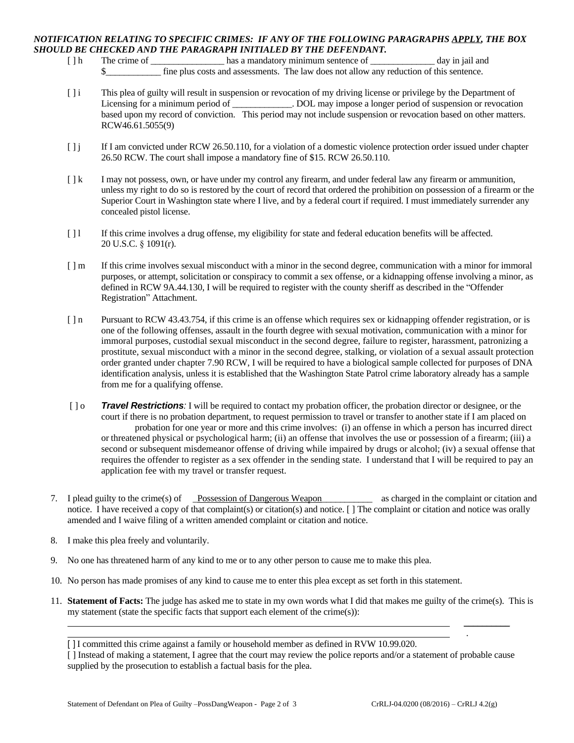## *NOTIFICATION RELATING TO SPECIFIC CRIMES: IF ANY OF THE FOLLOWING PARAGRAPHS APPLY, THE BOX SHOULD BE CHECKED AND THE PARAGRAPH INITIALED BY THE DEFENDANT.*

- [ ] h The crime of \_\_\_\_\_\_\_\_\_\_\_\_\_\_\_\_\_\_\_\_\_ has a mandatory minimum sentence of \_\_\_\_\_\_\_\_\_\_\_\_\_\_\_ day in jail and fine plus costs and assessments. The law does not allow any reduction of this sentence.
- [ ] i This plea of guilty will result in suspension or revocation of my driving license or privilege by the Department of Licensing for a minimum period of \_\_\_\_\_\_\_\_\_\_\_\_\_. DOL may impose a longer period of suspension or revocation based upon my record of conviction. This period may not include suspension or revocation based on other matters. RCW46.61.5055(9)
- [ ] j If I am convicted under RCW 26.50.110, for a violation of a domestic violence protection order issued under chapter 26.50 RCW. The court shall impose a mandatory fine of \$15. RCW 26.50.110.
- [  $\lfloor k$  I may not possess, own, or have under my control any firearm, and under federal law any firearm or ammunition, unless my right to do so is restored by the court of record that ordered the prohibition on possession of a firearm or the Superior Court in Washington state where I live, and by a federal court if required. I must immediately surrender any concealed pistol license.
- [1] If this crime involves a drug offense, my eligibility for state and federal education benefits will be affected. 20 U.S.C. § 1091(r).
- [ ] m If this crime involves sexual misconduct with a minor in the second degree, communication with a minor for immoral purposes, or attempt, solicitation or conspiracy to commit a sex offense, or a kidnapping offense involving a minor, as defined in RCW 9A.44.130, I will be required to register with the county sheriff as described in the "Offender Registration" Attachment.
- [ ] n Pursuant to RCW 43.43.754, if this crime is an offense which requires sex or kidnapping offender registration, or is one of the following offenses, assault in the fourth degree with sexual motivation, communication with a minor for immoral purposes, custodial sexual misconduct in the second degree, failure to register, harassment, patronizing a prostitute, sexual misconduct with a minor in the second degree, stalking, or violation of a sexual assault protection order granted under chapter 7.90 RCW, I will be required to have a biological sample collected for purposes of DNA identification analysis, unless it is established that the Washington State Patrol crime laboratory already has a sample from me for a qualifying offense.
- [ ] o *Travel Restrictions:* I will be required to contact my probation officer, the probation director or designee, or the court if there is no probation department, to request permission to travel or transfer to another state if I am placed on probation for one year or more and this crime involves: (i) an offense in which a person has incurred direct or threatened physical or psychological harm; (ii) an offense that involves the use or possession of a firearm; (iii) a second or subsequent misdemeanor offense of driving while impaired by drugs or alcohol; (iv) a sexual offense that requires the offender to register as a sex offender in the sending state. I understand that I will be required to pay an application fee with my travel or transfer request.
- 7. I plead guilty to the crime(s) of Possession of Dangerous Weapon as charged in the complaint or citation and notice. I have received a copy of that complaint(s) or citation(s) and notice. [] The complaint or citation and notice was orally amended and I waive filing of a written amended complaint or citation and notice.
- 8. I make this plea freely and voluntarily.
- 9. No one has threatened harm of any kind to me or to any other person to cause me to make this plea.
- 10. No person has made promises of any kind to cause me to enter this plea except as set forth in this statement.
- 11. **Statement of Facts:** The judge has asked me to state in my own words what I did that makes me guilty of the crime(s). This is my statement (state the specific facts that support each element of the crime(s)):

 $\overline{\phantom{a}}$ 

.

<sup>[]</sup> I committed this crime against a family or household member as defined in RVW 10.99.020.

<sup>[ ]</sup> Instead of making a statement, I agree that the court may review the police reports and/or a statement of probable cause supplied by the prosecution to establish a factual basis for the plea.